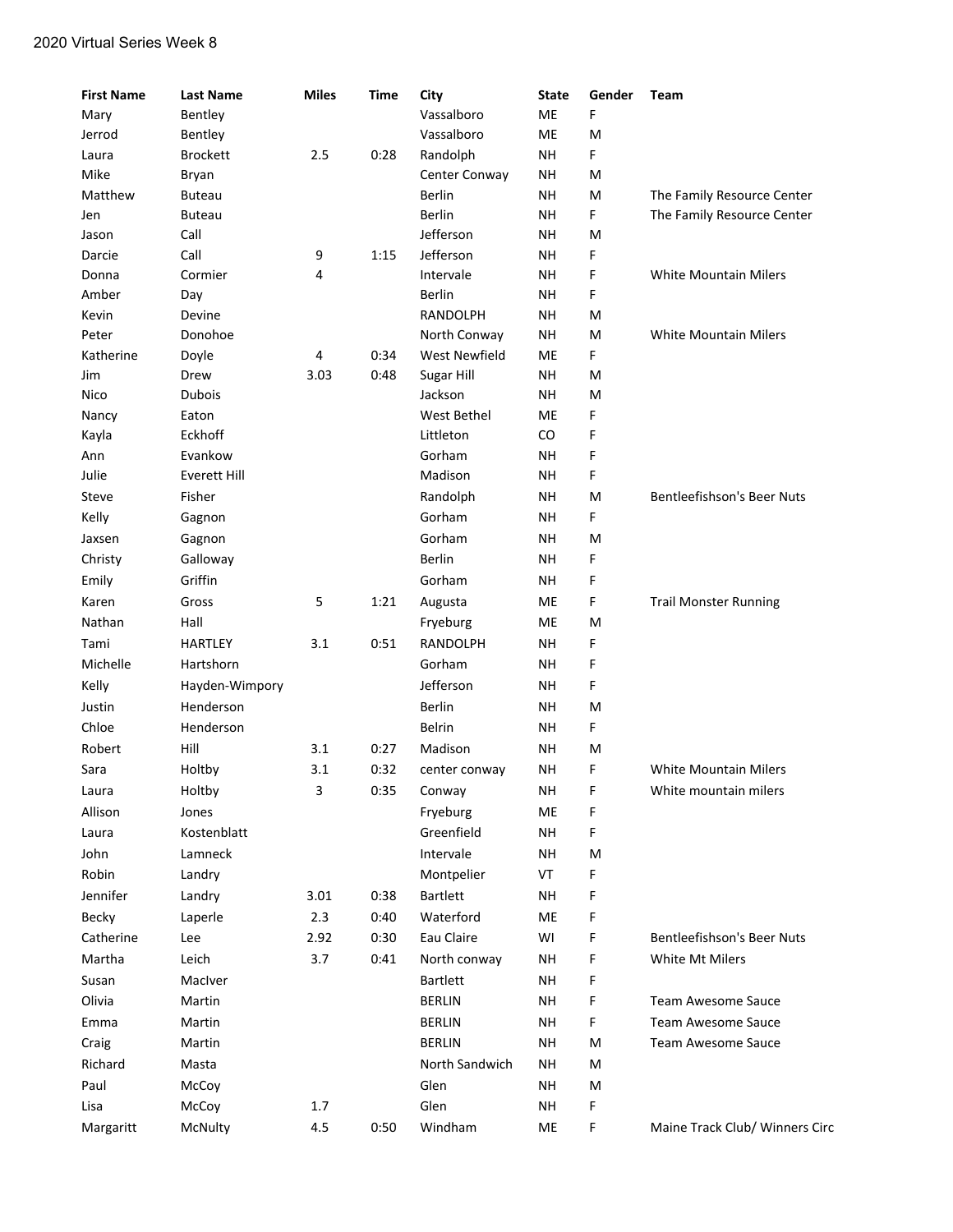## 2020 Virtual Series Week 8

| <b>First Name</b> | <b>Last Name</b>    | <b>Miles</b> | <b>Time</b> | City            | <b>State</b> | Gender | Team                              |
|-------------------|---------------------|--------------|-------------|-----------------|--------------|--------|-----------------------------------|
| Mary              | Bentley             |              |             | Vassalboro      | ME           | F      |                                   |
| Jerrod            | Bentley             |              |             | Vassalboro      | ME           | M      |                                   |
| Laura             | <b>Brockett</b>     | 2.5          | 0:28        | Randolph        | NΗ           | F.     |                                   |
| Mike              | Bryan               |              |             | Center Conway   | NΗ           | м      |                                   |
| Matthew           | Buteau              |              |             | <b>Berlin</b>   | NΗ           | M      | The Family Resource Center        |
| Jen               | Buteau              |              |             | Berlin          | NΗ           | F.     | The Family Resource Center        |
| Jason             | Call                |              |             | Jefferson       | NΗ           | M      |                                   |
| Darcie            | Call                | 9            | 1:15        | Jefferson       | NΗ           | F      |                                   |
| Donna             | Cormier             | 4            |             | Intervale       | NΗ           | F      | <b>White Mountain Milers</b>      |
| Amber             | Day                 |              |             | Berlin          | NΗ           | F      |                                   |
| Kevin             | Devine              |              |             | <b>RANDOLPH</b> | NΗ           | м      |                                   |
| Peter             | Donohoe             |              |             | North Conway    | <b>NH</b>    | M      | <b>White Mountain Milers</b>      |
| Katherine         | Doyle               | 4            | 0:34        | West Newfield   | ME           | F.     |                                   |
| Jim               | Drew                | 3.03         | 0:48        | Sugar Hill      | NΗ           | M      |                                   |
| Nico              | <b>Dubois</b>       |              |             | Jackson         | <b>NH</b>    | M      |                                   |
| Nancy             | Eaton               |              |             | West Bethel     | ME           | F      |                                   |
| Kayla             | Eckhoff             |              |             | Littleton       | CO           | F      |                                   |
| Ann               | Evankow             |              |             | Gorham          | NΗ           | F      |                                   |
| Julie             | <b>Everett Hill</b> |              |             | Madison         | NΗ           | F      |                                   |
| Steve             | Fisher              |              |             | Randolph        | NΗ           | M      | <b>Bentleefishson's Beer Nuts</b> |
| Kelly             | Gagnon              |              |             | Gorham          | NΗ           | F      |                                   |
| Jaxsen            | Gagnon              |              |             | Gorham          | NΗ           | M      |                                   |
| Christy           | Galloway            |              |             | <b>Berlin</b>   | <b>NH</b>    | F      |                                   |
| Emily             | Griffin             |              |             | Gorham          | NΗ           | F      |                                   |
| Karen             | Gross               | 5            | 1:21        | Augusta         | ME           | F      | <b>Trail Monster Running</b>      |
| Nathan            | Hall                |              |             | Fryeburg        | ME           | M      |                                   |
| Tami              | <b>HARTLEY</b>      | 3.1          | 0:51        | <b>RANDOLPH</b> | <b>NH</b>    | F      |                                   |
| Michelle          | Hartshorn           |              |             | Gorham          | NΗ           | F      |                                   |
| Kelly             | Hayden-Wimpory      |              |             | Jefferson       | NΗ           | F      |                                   |
| Justin            | Henderson           |              |             | <b>Berlin</b>   | NΗ           | M      |                                   |
| Chloe             | Henderson           |              |             | <b>Belrin</b>   | NΗ           | F.     |                                   |
| Robert            | Hill                | 3.1          | 0:27        | Madison         | NΗ           | M      |                                   |
| Sara              | Holtby              | 3.1          | 0:32        | center conway   | NΗ           | F      | <b>White Mountain Milers</b>      |
| Laura             | Holtby              | 3            | 0:35        | Conway          | NH           | F      | White mountain milers             |
| Allison           | Jones               |              |             | Fryeburg        | ME           | F      |                                   |
| Laura             | Kostenblatt         |              |             | Greenfield      | NΗ           | F      |                                   |
| John              | Lamneck             |              |             | Intervale       | <b>NH</b>    | м      |                                   |
| Robin             | Landry              |              |             | Montpelier      | VT           | F      |                                   |
| Jennifer          | Landry              | 3.01         | 0:38        | Bartlett        | ΝH           | F      |                                   |
| Becky             | Laperle             | 2.3          | 0:40        | Waterford       | ME           | F      |                                   |
| Catherine         | Lee                 | 2.92         | 0:30        | Eau Claire      | WI           | F      | Bentleefishson's Beer Nuts        |
| Martha            | Leich               | 3.7          | 0:41        | North conway    | NΗ           | F      | White Mt Milers                   |
|                   |                     |              |             | Bartlett        |              | F      |                                   |
| Susan             | MacIver             |              |             |                 | NΗ           |        |                                   |
| Olivia            | Martin              |              |             | <b>BERLIN</b>   | NH           | F      | Team Awesome Sauce                |
| Emma              | Martin              |              |             | <b>BERLIN</b>   | NΗ           | F      | <b>Team Awesome Sauce</b>         |
| Craig             | Martin              |              |             | <b>BERLIN</b>   | NΗ           | М      | <b>Team Awesome Sauce</b>         |
| Richard           | Masta               |              |             | North Sandwich  | NΗ           | м      |                                   |
| Paul              | McCoy               |              |             | Glen            | NH           | М      |                                   |
| Lisa              | McCoy               | 1.7          |             | Glen            | NH           | F      |                                   |
| Margaritt         | McNulty             | 4.5          | 0:50        | Windham         | ME           | F      | Maine Track Club/ Winners Circ    |